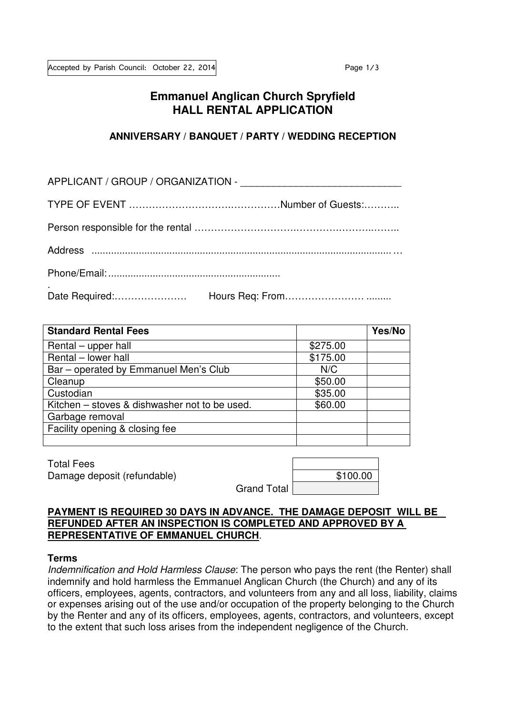# **Emmanuel Anglican Church Spryfield HALL RENTAL APPLICATION**

### **ANNIVERSARY / BANQUET / PARTY / WEDDING RECEPTION**

| <b>Standard Rental Fees</b>                   |          | Yes/No |
|-----------------------------------------------|----------|--------|
| Rental – upper hall                           | \$275.00 |        |
| Rental - lower hall                           | \$175.00 |        |
| Bar – operated by Emmanuel Men's Club         | N/C      |        |
| Cleanup                                       | \$50.00  |        |
| Custodian                                     | \$35.00  |        |
| Kitchen – stoves & dishwasher not to be used. | \$60.00  |        |
| Garbage removal                               |          |        |
| Facility opening & closing fee                |          |        |
|                                               |          |        |

Total Fees Damage deposit (refundable)

|                    | \$100.00 |
|--------------------|----------|
| <b>Grand Total</b> |          |

### **PAYMENT IS REQUIRED 30 DAYS IN ADVANCE. THE DAMAGE DEPOSIT WILL BE REFUNDED AFTER AN INSPECTION IS COMPLETED AND APPROVED BY A REPRESENTATIVE OF EMMANUEL CHURCH**.

#### **Terms**

Indemnification and Hold Harmless Clause: The person who pays the rent (the Renter) shall indemnify and hold harmless the Emmanuel Anglican Church (the Church) and any of its officers, employees, agents, contractors, and volunteers from any and all loss, liability, claims or expenses arising out of the use and/or occupation of the property belonging to the Church by the Renter and any of its officers, employees, agents, contractors, and volunteers, except to the extent that such loss arises from the independent negligence of the Church.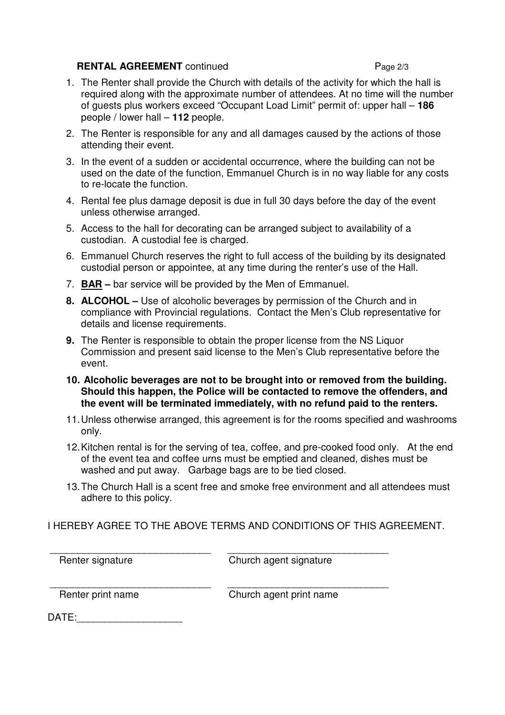## **RENTAL AGREEMENT** continued Page 2/3

- 1. The Renter shall provide the Church with details of the activity for which the hall is required along with the approximate number of attendees. At no time will the number of guests plus workers exceed "Occupant Load Limit" permit of: upper hall – **186** people / lower hall – **112** people.
- 2. The Renter is responsible for any and all damages caused by the actions of those attending their event.
- 3. In the event of a sudden or accidental occurrence, where the building can not be used on the date of the function, Emmanuel Church is in no way liable for any costs to re-locate the function.
- 4. Rental fee plus damage deposit is due in full 30 days before the day of the event unless otherwise arranged.
- 5. Access to the hall for decorating can be arranged subject to availability of a custodian. A custodial fee is charged.
- 6. Emmanuel Church reserves the right to full access of the building by its designated custodial person or appointee, at any time during the renter's use of the Hall.
- 7. **BAR** bar service will be provided by the Men of Emmanuel.
- **8. ALCOHOL** Use of alcoholic beverages by permission of the Church and in compliance with Provincial regulations. Contact the Men's Club representative for details and license requirements.
- **9.** The Renter is responsible to obtain the proper license from the NS Liquor Commission and present said license to the Men's Club representative before the event.
- **10. Alcoholic beverages are not to be brought into or removed from the building. Should this happen, the Police will be contacted to remove the offenders, and the event will be terminated immediately, with no refund paid to the renters.**
- 11. Unless otherwise arranged, this agreement is for the rooms specified and washrooms only.
- 12. Kitchen rental is for the serving of tea, coffee, and pre-cooked food only. At the end of the event tea and coffee urns must be emptied and cleaned, dishes must be washed and put away. Garbage bags are to be tied closed.
- 13. The Church Hall is a scent free and smoke free environment and all attendees must adhere to this policy.

## I HEREBY AGREE TO THE ABOVE TERMS AND CONDITIONS OF THIS AGREEMENT.

\_\_\_\_\_\_\_\_\_\_\_\_\_\_\_\_\_\_\_\_\_\_\_\_\_\_\_\_\_ \_\_\_\_\_\_\_\_\_\_\_\_\_\_\_\_\_\_\_\_\_\_\_\_\_\_\_\_\_

Renter signature Church agent signature

\_\_\_\_\_\_\_\_\_\_\_\_\_\_\_\_\_\_\_\_\_\_\_\_\_\_\_\_\_ \_\_\_\_\_\_\_\_\_\_\_\_\_\_\_\_\_\_\_\_\_\_\_\_\_\_\_\_\_

Renter print name Church agent print name

DATE: